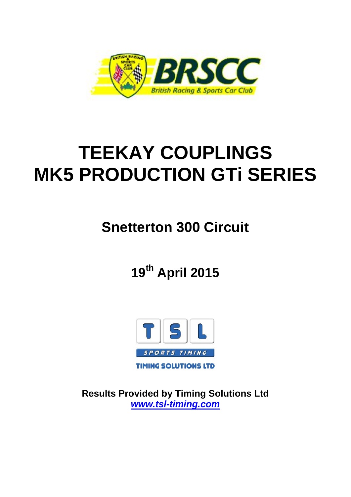

# **TEEKAY COUPLINGS MK5 PRODUCTION GTi SERIES**

## **Snetterton 300 Circuit**

**19th April 2015**



**Results Provided by Timing Solutions Ltd** *www.tsl-timing.com*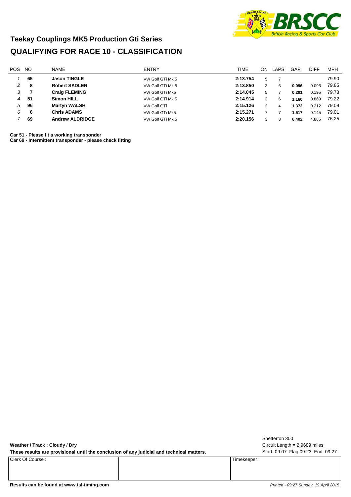

#### **Teekay Couplings MK5 Production Gti Series QUALIFYING FOR RACE 10 - CLASSIFICATION**

| <b>MPH</b> |
|------------|
| 79.90      |
| 79.85      |
| 79.73      |
| 79.22      |
| 79.09      |
| 79.01      |
| 76.25      |
|            |

**Car 51 - Please fit a working transponder**

**Car 69 - Intermittent transponder - please check fitting**

**Weather / Track : Cloudy / Dry**

These results are provisional until the conclusion of any judicial and technical matters. Start: 09:07 Flag 09:23 End: 09:27

Clerk Of Course : Timekeeper :

Circuit Length = 2.9689 miles Snetterton 300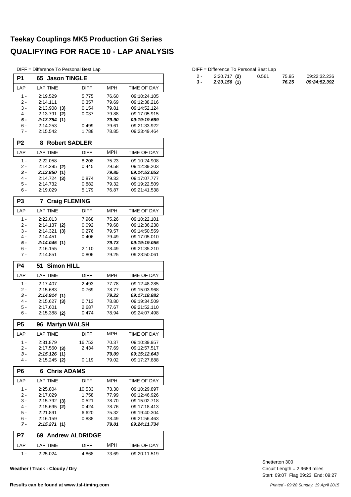#### **Teekay Couplings MK5 Production Gti Series QUALIFYING FOR RACE 10 - LAP ANALYSIS**

DIFF = Difference To Personal Best Lap

| P <sub>1</sub> | 65 Jason TINGLE                   |                |                |                              |  |  |  |  |  |
|----------------|-----------------------------------|----------------|----------------|------------------------------|--|--|--|--|--|
| LAP            | <b>LAP TIME</b>                   | <b>DIFF</b>    | <b>MPH</b>     | TIME OF DAY                  |  |  |  |  |  |
| $1 -$          | 2:19.529                          | 5.775          | 76.60          | 09:10:24.105                 |  |  |  |  |  |
| 2 -            | 2:14.111                          | 0.357          | 79.69          | 09:12:38.216                 |  |  |  |  |  |
| 3 -<br>4 -     | $2:13.908$ (3)<br>2:13.791<br>(2) | 0.154<br>0.037 | 79.81<br>79.88 | 09:14:52.124<br>09:17:05.915 |  |  |  |  |  |
| 5 -            | 2:13.754 (1)                      |                | 79.90          | 09:19:19.669                 |  |  |  |  |  |
| 6 -            | 2:14.253                          | 0.499          | 79.61          | 09:21:33.922                 |  |  |  |  |  |
| $7 -$          | 2:15.542                          | 1.788          | 78.85          | 09:23:49.464                 |  |  |  |  |  |
| P <sub>2</sub> | <b>Robert SADLER</b><br>8         |                |                |                              |  |  |  |  |  |
| LAP            | <b>LAP TIME</b>                   | <b>DIFF</b>    | <b>MPH</b>     | <b>TIME OF DAY</b>           |  |  |  |  |  |
| $1 -$          | 2:22.058                          | 8.208          | 75.23          | 09:10:24.908                 |  |  |  |  |  |
| 2 -            | $2:14.295$ (2)                    | 0.445          | 79.58          | 09:12:39.203                 |  |  |  |  |  |
| 3 -<br>4 -     | 2:13.850(1)<br>$2:14.724$ (3)     | 0.874          | 79.85<br>79.33 | 09:14:53.053<br>09:17:07.777 |  |  |  |  |  |
| 5 -            | 2:14.732                          | 0.882          | 79.32          | 09:19:22.509                 |  |  |  |  |  |
| 6 -            | 2:19.029                          | 5.179          | 76.87          | 09:21:41.538                 |  |  |  |  |  |
| P <sub>3</sub> | <b>Craig FLEMING</b><br>7         |                |                |                              |  |  |  |  |  |
| LAP            | <b>LAP TIME</b>                   | <b>DIFF</b>    | MPH            | TIME OF DAY                  |  |  |  |  |  |
| $1 -$          | 2:22.013                          | 7.968          | 75.26          | 09:10:22.101                 |  |  |  |  |  |
| 2 -            | $2:14.137$ (2)                    | 0.092          | 79.68          | 09:12:36.238                 |  |  |  |  |  |
| 3 -            | 2:14.321<br>(3)                   | 0.276          | 79.57          | 09:14:50.559                 |  |  |  |  |  |
| 4 -<br>5 -     | 2:14.451<br>2:14.045(1)           | 0.406          | 79.49<br>79.73 | 09:17:05.010<br>09:19:19.055 |  |  |  |  |  |
| 6 -            | 2:16.155                          | 2.110          | 78.49          | 09:21:35.210                 |  |  |  |  |  |
| 7 -            | 2:14.851                          | 0.806          | 79.25          | 09:23:50.061                 |  |  |  |  |  |
| <b>P4</b>      | 51<br><b>Simon HILL</b>           |                |                |                              |  |  |  |  |  |
| LAP            | <b>LAP TIME</b>                   | <b>DIFF</b>    | <b>MPH</b>     | TIME OF DAY                  |  |  |  |  |  |
| $1 -$          | 2:17.407                          | 2.493          | 77.78          | 09:12:48.285                 |  |  |  |  |  |
| 2 -            | 2:15.683                          | 0.769          | 78.77          | 09:15:03.968                 |  |  |  |  |  |
| 3 -<br>4 -     | 2:14.914(1)<br>$2:15.627$ (3)     |                | 79.22<br>78.80 | 09:17:18.882<br>09:19:34.509 |  |  |  |  |  |
| 5 -            | 2:17.601                          | 0.713<br>2.687 | 77.67          | 09:21:52.110                 |  |  |  |  |  |
| 6 -            | $2:15.388$ (2)                    | 0.474          | 78.94          | 09:24:07.498                 |  |  |  |  |  |
| P <sub>5</sub> | <b>Martyn WALSH</b><br>96         |                |                |                              |  |  |  |  |  |
| LAP            | <b>LAP TIME</b>                   | <b>DIFF</b>    | MPH            | <b>TIME OF DAY</b>           |  |  |  |  |  |
| $1 -$          | 2:31.879                          | 16.753         | 70.37          | 09:10:39.957                 |  |  |  |  |  |
| $2 -$          | $2:17.560$ (3)                    | 2.434          | 77.69          | 09:12:57.517                 |  |  |  |  |  |
| 3 -            | 2:15.126(1)                       |                | 79.09          | <i><b>09:15:12.643</b></i>   |  |  |  |  |  |
| 4 -            | $2:15.245$ (2)                    | 0.119          | 79.02          | 09:17:27.888                 |  |  |  |  |  |
| P <sub>6</sub> | <b>Chris ADAMS</b><br>6           |                |                |                              |  |  |  |  |  |
| LAP            | <b>LAP TIME</b>                   | DIFF           | MPH            | TIME OF DAY                  |  |  |  |  |  |
| 1 -            | 2:25.804                          | 10.533         | 73.30          | 09:10:29.897                 |  |  |  |  |  |
| 2 -            | 2:17.029                          | 1.758          | 77.99          | 09:12:46.926                 |  |  |  |  |  |
| $3 -$<br>4 -   | $2:15.792$ (3)<br>2:15.695<br>(2) | 0.521<br>0.424 | 78.70<br>78.76 | 09:15:02.718<br>09:17:18.413 |  |  |  |  |  |
| 5 -            | 2:21.891                          | 6.620          | 75.32          | 09:19:40.304                 |  |  |  |  |  |
| 6 -            | 2:16.159                          | 0.888          | 78.49          | 09:21:56.463                 |  |  |  |  |  |
| 7 -            | 2:15.271 (1)                      |                | 79.01          | 09:24:11.734                 |  |  |  |  |  |
| P7             | 69 Andrew ALDRIDGE                |                |                |                              |  |  |  |  |  |
| LAP            | <b>LAP TIME</b>                   | <b>DIFF</b>    | <b>MPH</b>     | TIME OF DAY                  |  |  |  |  |  |
| 1 -            | 2:25.024                          | 4.868          | 73.69          | 09:20:11.519                 |  |  |  |  |  |

**Weather / Track : Cloudy / Dry**

#### DIFF = Difference To Personal Best Lap

| 2 - | $2:20.717$ (2) | 0.561 | 75.95 | 09:22:32.236 |
|-----|----------------|-------|-------|--------------|
| 3 - | 2:20.156(1)    |       | 76.25 | 09:24:52.392 |

Start: 09:07 Flag 09:23 End: 09:27 Circuit Length = 2.9689 miles Snetterton 300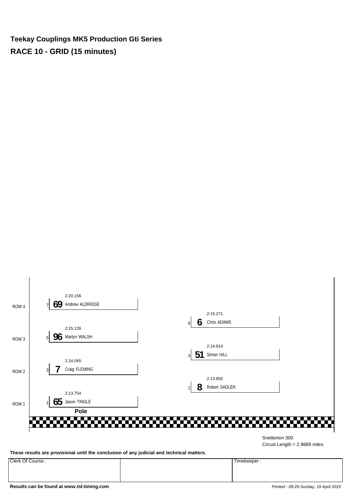**Teekay Couplings MK5 Production Gti Series RACE 10 - GRID (15 minutes)**



Circuit Length = 2.9689 miles

**These results are provisional until the conclusion of any judicial and technical matters.**

Clerk Of Course : Timekeeper :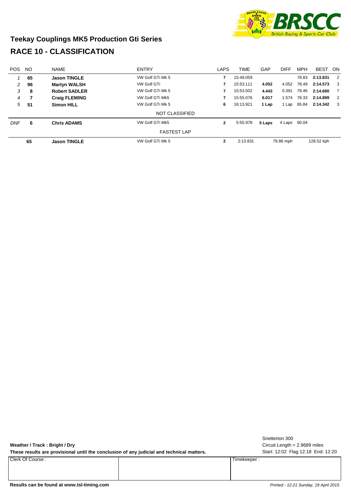

### **Teekay Couplings MK5 Production Gti Series RACE 10 - CLASSIFICATION**

| <b>POS</b> | <b>NO</b> | <b>NAME</b>          | <b>ENTRY</b>          | LAPS         | <b>TIME</b> | GAP    | <b>DIFF</b>  | <b>MPH</b> | <b>BEST</b> | - ON           |
|------------|-----------|----------------------|-----------------------|--------------|-------------|--------|--------------|------------|-------------|----------------|
|            | 65        | <b>Jason TINGLE</b>  | VW Golf GTi Mk 5      |              | 15:49.059   |        |              | 78.83      | 2:13.831    | $\overline{2}$ |
| 2          | 96        | <b>Martyn WALSH</b>  | <b>VW Golf GTi</b>    |              | 15:53.111   | 4.052  | 4.052        | 78.49      | 2:14.573    | -3             |
| 3          | 8         | <b>Robert SADLER</b> | VW Golf GTi Mk 5      |              | 15:53.502   |        | 0.391        | 78.46      | 2:14.680    | 7              |
| 4          | 7         | <b>Craig FLEMING</b> | VW Golf GTi Mk5       | 15:55.076    |             | 6.017  | 1.574        | 78.33      | 2:14.899    | 2              |
| 5          | -51       | <b>Simon HILL</b>    | VW Golf GTi Mk 5      | 6            | 16:13.921   | 1 Lap  | 1 Lap        | 65.84      | 2:14.342    | 3              |
|            |           |                      | <b>NOT CLASSIFIED</b> |              |             |        |              |            |             |                |
| <b>DNF</b> | 6         | <b>Chris ADAMS</b>   | VW Golf GTi Mk5       | $\mathbf{2}$ | 5:55.978    | 5 Laps | 4 Laps 60.04 |            |             |                |
|            |           |                      | <b>FASTEST LAP</b>    |              |             |        |              |            |             |                |
|            | 65        | <b>Jason TINGLE</b>  | VW Golf GTi Mk 5      | $\mathbf{2}$ | 2:13.831    |        | 79.86 mph    |            | 128.52 kph  |                |

| Weather / Track: Bright / Dry<br>These results are provisional until the conclusion of any judicial and technical matters. |             | Snetterton 300<br>Circuit Length $= 2.9689$ miles<br>Start: 12:02 Flag 12:18 End: 12:20 |
|----------------------------------------------------------------------------------------------------------------------------|-------------|-----------------------------------------------------------------------------------------|
| Clerk Of Course:                                                                                                           | Timekeeper: |                                                                                         |
| Results can be found at www.tsl-timing.com                                                                                 |             | Printed - 12:21 Sunday, 19 April 2015                                                   |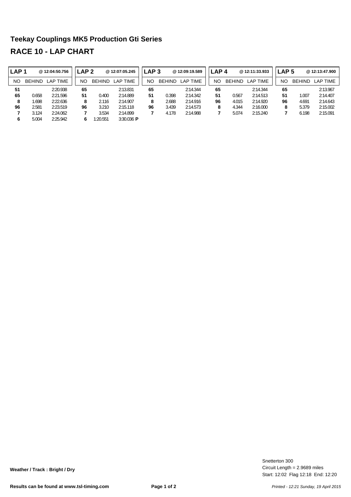#### **Teekay Couplings MK5 Production Gti Series RACE 10 - LAP CHART**

| LAP <sub>1</sub> |               | @ 12:04:50.756 | LAP 2 |               | @12:07:05.245   | LAP <sub>3</sub> |               | @12:09:19.589 | LAP <sub>4</sub> |               | @12:11:33.933 | LAP <sub>5</sub> |               | @ 12:13:47.900 |
|------------------|---------------|----------------|-------|---------------|-----------------|------------------|---------------|---------------|------------------|---------------|---------------|------------------|---------------|----------------|
| NO               | <b>BEHIND</b> | LAP TIME       | NO    | <b>BEHIND</b> | <b>LAP TIME</b> | NO               | <b>BEHIND</b> | LAP TIME      | NΟ               | <b>BEHIND</b> | LAP TIME      | <b>NO</b>        | <b>BEHIND</b> | LAP TIME       |
| 51               |               | 2:20.938       | 65    |               | 2:13.831        | 65               |               | 2:14.344      | 65               |               | 2:14.344      | 65               |               | 2:13.967       |
| 65               | 0.658         | 2:21.596       | 51    | 0.400         | 2:14.889        | 51               | 0.398         | 2:14.342      | 51               | 0.567         | 2:14.513      | 51               | 1.007         | 2:14.407       |
| 8                | 1.698         | 2:22.636       | 8     | 2.116         | 2:14.907        | 8                | 2.688         | 2:14.916      | 96               | 4.015         | 2:14.920      | 96               | 4.691         | 2:14.643       |
| 96               | 2.581         | 2:23.519       | 96    | 3.210         | 2:15.118        | 96               | 3.439         | 2:14.573      | 8                | 4.344         | 2:16.000      | 8                | 5.379         | 2:15.002       |
|                  | 3.124         | 2:24.062       |       | 3.534         | 2:14.899        |                  | 4.178         | 2:14.988      |                  | 5.074         | 2:15.240      |                  | 6.198         | 2:15.091       |
| 6                | 5.004         | 2:25.942       | 6     | 1:20.551      | $3:30.036$ P    |                  |               |               |                  |               |               |                  |               |                |

Start: 12:02 Flag 12:18 End: 12:20 Circuit Length = 2.9689 miles Snetterton 300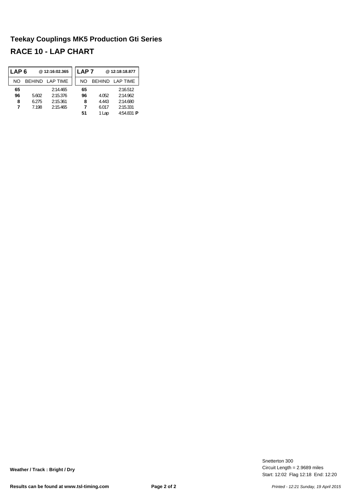#### **Teekay Couplings MK5 Production Gti Series RACE 10 - LAP CHART**

| LAP 6 |               | @12:16:02.365 | LAP 7 |       | @12:18:18.877     |
|-------|---------------|---------------|-------|-------|-------------------|
| NΟ    | <b>BEHIND</b> | LAP TIME      | NO.   |       | BEHIND LAP TIME   |
| 65    |               | 2:14.465      | 65    |       | 2:16.512          |
| 96    | 5.602         | 2:15.376      | 96    | 4.052 | 2:14.962          |
| 8     | 6.275         | 2:15.361      | 8     | 4.443 | 2:14.680          |
| 7     | 7.198         | 2:15.465      |       | 6.017 | 2:15.331          |
|       |               |               | 51    | 1 Lap | 4:54.831 <b>P</b> |

Start: 12:02 Flag 12:18 End: 12:20 Circuit Length = 2.9689 miles Snetterton 300

**Weather / Track : Bright / Dry**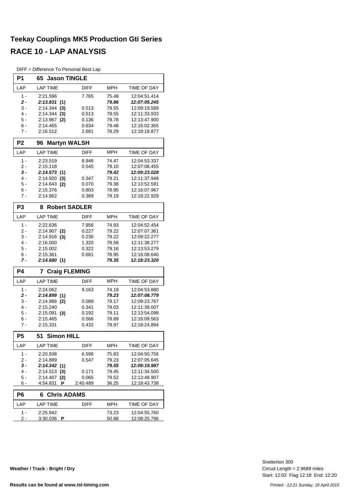#### **Teekay Couplings MK5 Production Gti Series RACE 10 - LAP ANALYSIS**

DIFF = Difference To Personal Best Lap

| P1             | 65 Jason TINGLE           |             |                       |                                     |
|----------------|---------------------------|-------------|-----------------------|-------------------------------------|
| LAP            | <b>LAP TIME</b>           | DIFF        | <b>MPH</b>            | TIME OF DAY                         |
| $1 -$          | 2:21.596                  | 7.765       | 75.48                 | 12:04:51.414                        |
| 2 -            | 2:13.831(1)               |             | 79.86                 | 12:07:05.245                        |
| 3 -            | 2:14.344<br>(3)           | 0.513       | 79.55                 | 12:09:19.589                        |
| 4 -            | 2:14.344<br>(3)           | 0.513       | 79.55                 | 12:11:33.933                        |
| 5 -            | 2:13.967<br>(2)           | 0.136       | 79.78                 | 12:13:47.900                        |
| 6 -            | 2:14.465                  | 0.634       | 79.48                 | 12:16:02.365                        |
| $7 -$          | 2:16.512                  | 2.681       | 78.29                 | 12:18:18.877                        |
| P <sub>2</sub> | <b>Martyn WALSH</b><br>96 |             |                       |                                     |
| LAP            | <b>LAP TIME</b>           | <b>DIFF</b> | <b>MPH</b>            | TIME OF DAY                         |
| 1 -            | 2:23.519                  | 8.946       | 74.47                 | 12:04:53.337                        |
| 2 -            | 2:15.118                  | 0.545       | 79.10                 | 12:07:08.455                        |
| 3 -            | 2:14.573 (1)              |             | 79.42                 | 12:09:23.028                        |
| 4 -            | $2:14.920$ (3)            | 0.347       | 79.21                 | 12:11:37.948                        |
| 5 -            | 2:14.643<br>(2)           | 0.070       | 79.38                 | 12:13:52.591                        |
| 6 -            | 2:15.376                  | 0.803       | 78.95                 | 12:16:07.967                        |
| $7 -$          | 2:14.962                  | 0.389       | 79.19                 | 12:18:22.929                        |
| P <sub>3</sub> | <b>Robert SADLER</b><br>8 |             |                       |                                     |
| LAP            | <b>LAP TIME</b>           | <b>DIFF</b> | <b>MPH</b>            | TIME OF DAY                         |
| 1 -            | 2:22.636                  | 7.956       | 74.93                 | 12:04:52.454                        |
| 2 -            | $2:14.907$ (2)            | 0.227       | 79.22                 | 12:07:07.361                        |
| 3 -            | 2:14.916<br>(3)           | 0.236       | 79.22                 | 12:09:22.277                        |
| $4 -$          | 2:16.000                  | 1.320       | 78.58                 | 12:11:38.277                        |
| 5 -            | 2:15.002                  | 0.322       | 79.16                 | 12:13:53.279                        |
| 6 -<br>7 -     | 2:15.361<br>2:14.680(1)   | 0.681       | 78.95<br>79.35        | 12:16:08.640<br>12:18:23.320        |
| <b>P4</b>      | 7<br><b>Craig FLEMING</b> |             |                       |                                     |
| LAP            | <b>LAP TIME</b>           | DIFF        | <b>MPH</b>            | TIME OF DAY                         |
| $1 -$          | 2:24.062                  |             | 74.19                 |                                     |
| 2 -            | 2:14.899(1)               | 9.163       | 79.23                 | 12:04:53.880<br>12:07:08.779        |
| 3 -            | 2:14.988 (2)              | 0.089       | 79.17                 | 12:09:23.767                        |
| $4 -$          | 2:15.240                  | 0.341       | 79.03                 | 12:11:39.007                        |
| 5 -            | 2:15.091<br>(3)           | 0.192       | 79.11                 | 12:13:54.098                        |
| 6 -            | 2:15.465                  | 0.566       | 78.89                 | 12:16:09.563                        |
| 7 -            | 2:15.331                  | 0.432       | 78.97                 | 12:18:24.894                        |
| P <sub>5</sub> | 51 Simon HILL             |             |                       |                                     |
| LAP            | LAP TIME                  | DIFF        | MPH                   | TIME OF DAY                         |
| 1 -            | 2:20.938                  | 6.596       | 75.83                 | 12:04:50.756                        |
| 2 -            | 2:14.889                  | 0.547       | 79.23                 | 12:07:05.645                        |
| 3 -            | 2:14.342 (1)              |             | 79.55                 | 12:09:19.987                        |
| 4 -            | 2:14.513(3)               | 0.171       | 79.45                 | 12:11:34.500                        |
| 5 -            | 2:14.407 (2)              | 0.065       | 79.52                 | 12:13:48.907                        |
| 6 -            | 4:54.831<br>Р             | 2:40.489    | 36.25                 | 12:18:43.738                        |
| P <sub>6</sub> | <b>Chris ADAMS</b><br>6   |             |                       |                                     |
| LAP            | <b>LAP TIME</b>           | DIFF        | MPH                   | TIME OF DAY                         |
| 1 -<br>2 -     | 2:25.942<br>3:30.036 P    |             | 73.23<br><u>50.88</u> | 12:04:55.760<br><u>12:08:25.796</u> |

Start: 12:02 Flag 12:18 End: 12:20 Circuit Length = 2.9689 miles Snetterton 300

**Weather / Track : Bright / Dry**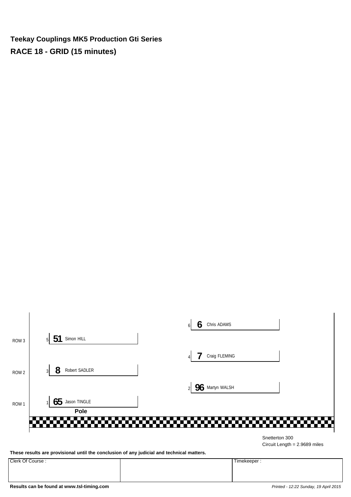**Teekay Couplings MK5 Production Gti Series RACE 18 - GRID (15 minutes)**



Circuit Length = 2.9689 miles

**These results are provisional until the conclusion of any judicial and technical matters.**

Clerk Of Course : Timekeeper :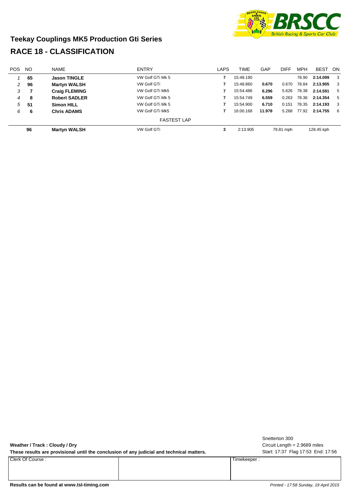

#### **Teekay Couplings MK5 Production Gti Series RACE 18 - CLASSIFICATION**

| <b>POS</b> | NO. | <b>NAME</b>          | <b>ENTRY</b>       | LAPS | <b>TIME</b> | GAP       | <b>DIFF</b> | <b>MPH</b> | <b>BEST</b> | - ON                    |
|------------|-----|----------------------|--------------------|------|-------------|-----------|-------------|------------|-------------|-------------------------|
|            | 65  | <b>Jason TINGLE</b>  | VW Golf GTi Mk 5   |      | 15:48.190   |           |             | 78.90      | 2:14.099    | $\overline{\mathbf{3}}$ |
| 2          | 96  | <b>Martyn WALSH</b>  | <b>VW Golf GTi</b> |      | 15:48.860   | 0.670     | 0.670       | 78.84      | 2:13.905    | 3                       |
| 3          |     | <b>Craig FLEMING</b> | VW Golf GTi Mk5    |      | 15:54.486   | 6.296     | 5.626       | 78.38      | 2:14.591    | - 5                     |
| 4          | -8  | <b>Robert SADLER</b> | VW Golf GTi Mk 5   |      | 15:54.749   | 6.559     | 0.263       | 78.36      | 2:14.354    | 5                       |
| 5          | -51 | <b>Simon HILL</b>    | VW Golf GTi Mk 5   |      | 15:54.900   | 6.710     | 0.151       | 78.35      | 2:14.193    | 3                       |
| 6          | 6   | <b>Chris ADAMS</b>   | VW Golf GTi Mk5    |      | 16:00.168   | 11.978    | 5.268       | 77.92      | 2:14.755    | - 6                     |
|            |     |                      | <b>FASTEST LAP</b> |      |             |           |             |            |             |                         |
| 96         |     | <b>Martyn WALSH</b>  | <b>VW Golf GTi</b> | 3    | 2:13.905    | 79.81 mph |             | 128.45 kph |             |                         |

| Weather / Track: Cloudy / Dry<br>These results are provisional until the conclusion of any judicial and technical matters. |             | Snetterton 300<br>Circuit Length = 2.9689 miles<br>Start: 17:37 Flag 17:53 End: 17:56 |
|----------------------------------------------------------------------------------------------------------------------------|-------------|---------------------------------------------------------------------------------------|
| Clerk Of Course:                                                                                                           | Timekeeper: |                                                                                       |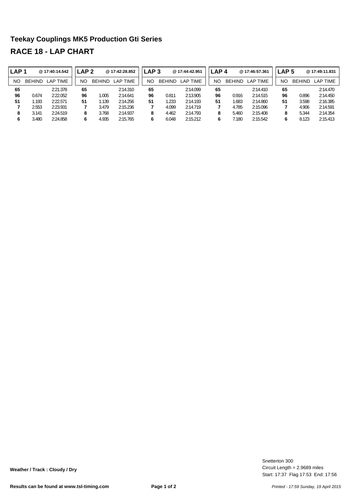#### **Teekay Couplings MK5 Production Gti Series RACE 18 - LAP CHART**

| LAP <sub>1</sub> |               | @ 17:40:14.542  | LAP 2 |               | @17:42:28.852   | LAP <sub>3</sub> |               | @17:44:42.951 | LAP <sub>4</sub> |               | @17:46:57.361 | LAP 5 |               | @17:49:11.831 |
|------------------|---------------|-----------------|-------|---------------|-----------------|------------------|---------------|---------------|------------------|---------------|---------------|-------|---------------|---------------|
| NO               | <b>BEHIND</b> | <b>LAP TIME</b> | NO    | <b>BEHIND</b> | <b>LAP TIME</b> | <b>NO</b>        | <b>BEHIND</b> | LAP TIME      | NΟ               | <b>BEHIND</b> | LAP TIME      | NΟ    | <b>BEHIND</b> | LAP TIME      |
| 65               |               | 2:21.378        | 65    |               | 2:14.310        | 65               |               | 2:14.099      | 65               |               | 2:14.410      | 65    |               | 2:14.470      |
| 96               | 0.674         | 2:22.052        | 96    | 1.005         | 2:14.641        | 96               | 0.811         | 2:13.905      | 96               | 0.916         | 2:14.515      | 96    | 0.896         | 2:14.450      |
| 51               | 1.193         | 2:22.571        | 51    | .139          | 2:14.256        | 51               | 1.233         | 2:14.193      | 51               | .683          | 2:14.860      | 51    | 3.598         | 2:16.385      |
|                  | 2.553         | 2:23.931        |       | 3.479         | 2:15.236        | 7                | 4.099         | 2:14.719      |                  | 4.785         | 2:15.096      |       | 4.906         | 2:14.591      |
| 8                | 3.141         | 2:24.519        | 8     | 3.768         | 2:14.937        | 8                | 4.462         | 2:14.793      |                  | 5.460         | 2:15.408      | 8     | 5.344         | 2:14.354      |
|                  | 3.480         | 2:24.858        | 6     | 4.935         | 2:15.765        | 6                | 6.048         | 2:15.212      |                  | 7.180         | 2:15.542      | 6     | 8.123         | 2:15.413      |

Start: 17:37 Flag 17:53 End: 17:56 Circuit Length = 2.9689 miles Snetterton 300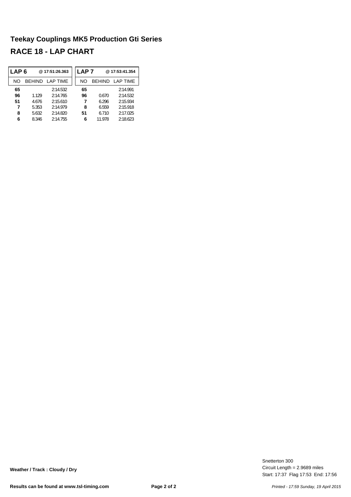#### **Teekay Couplings MK5 Production Gti Series RACE 18 - LAP CHART**

| LAP 6 |       | @17:51:26.363          | <b>LAP 7</b> |        | @17:53:41.354   |
|-------|-------|------------------------|--------------|--------|-----------------|
| NΟ    |       | <b>BEHIND LAP TIME</b> | NΟ           |        | BEHIND LAP TIME |
| 65    |       | 2:14.532               | 65           |        | 2:14.991        |
| 96    | 1.129 | 2:14.765               | 96           | 0.670  | 2:14.532        |
| 51    | 4.676 | 2:15.610               | 7            | 6.296  | 2:15.934        |
| 7     | 5.353 | 2:14.979               | 8            | 6.559  | 2:15.918        |
| 8     | 5.632 | 2:14.820               | 51           | 6.710  | 2:17.025        |
| 6     | 8.346 | 2:14.755               | 6            | 11.978 | 2:18.623        |

Start: 17:37 Flag 17:53 End: 17:56 Circuit Length = 2.9689 miles Snetterton 300